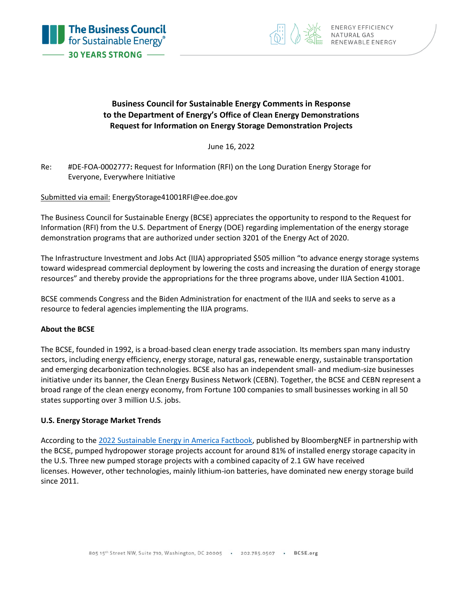



## **Business Council for Sustainable Energy Comments in Response to the Department of Energy's Office of Clean Energy Demonstrations Request for Information on Energy Storage Demonstration Projects**

June 16, 2022

Re: #DE-FOA-0002777**:** Request for Information (RFI) on the Long Duration Energy Storage for Everyone, Everywhere Initiative

Submitted via email: EnergyStorage41001RFI@ee.doe.gov

The Business Council for Sustainable Energy (BCSE) appreciates the opportunity to respond to the Request for Information (RFI) from the U.S. Department of Energy (DOE) regarding implementation of the energy storage demonstration programs that are authorized under section 3201 of the Energy Act of 2020.

The Infrastructure Investment and Jobs Act (IIJA) appropriated \$505 million "to advance energy storage systems toward widespread commercial deployment by lowering the costs and increasing the duration of energy storage resources" and thereby provide the appropriations for the three programs above, under IIJA Section 41001.

BCSE commends Congress and the Biden Administration for enactment of the IIJA and seeks to serve as a resource to federal agencies implementing the IIJA programs.

## **About the BCSE**

The BCSE, founded in 1992, is a broad-based clean energy trade association. Its members span many industry sectors, including energy efficiency, energy storage, natural gas, renewable energy, sustainable transportation and emerging decarbonization technologies. BCSE also has an independent small- and medium-size businesses initiative under its banner, the Clean Energy Business Network (CEBN). Together, the BCSE and CEBN represent a broad range of the clean energy economy, from Fortune 100 companies to small businesses working in all 50 states supporting over 3 million U.S. jobs.

## **U.S. Energy Storage Market Trends**

According to the [2022 Sustainable Energy in America Factbook,](http://www.bcse.org/factbook) published by BloombergNEF in partnership with the BCSE, pumped hydropower storage projects account for around 81% of installed energy storage capacity in the U.S. Three new pumped storage projects with a combined capacity of 2.1 GW have received licenses. However, other technologies, mainly lithium-ion batteries, have dominated new energy storage build since 2011.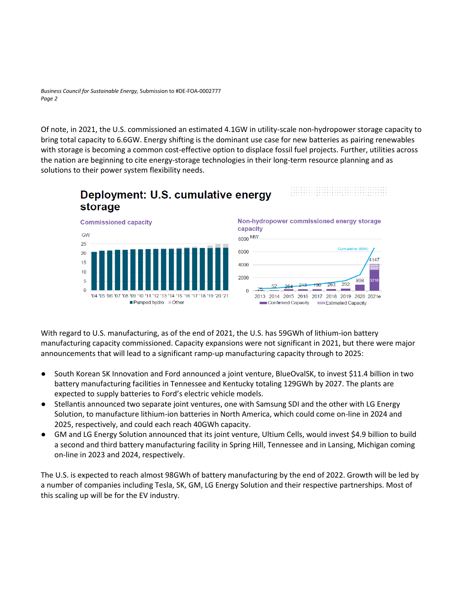*Business Council for Sustainable Energy,* Submission to #DE-FOA-0002777 *Page 2*

Of note, in 2021, the U.S. commissioned an estimated 4.1GW in utility-scale non-hydropower storage capacity to bring total capacity to 6.6GW. Energy shifting is the dominant use case for new batteries as pairing renewables with storage is becoming a common cost-effective option to displace fossil fuel projects. Further, utilities across the nation are beginning to cite energy-storage technologies in their long-term resource planning and as solutions to their power system flexibility needs.



With regard to U.S. manufacturing, as of the end of 2021, the U.S. has 59GWh of lithium-ion battery manufacturing capacity commissioned. Capacity expansions were not significant in 2021, but there were major announcements that will lead to a significant ramp-up manufacturing capacity through to 2025:

- South Korean SK Innovation and Ford announced a joint venture, BlueOvalSK, to invest \$11.4 billion in two battery manufacturing facilities in Tennessee and Kentucky totaling 129GWh by 2027. The plants are expected to supply batteries to Ford's electric vehicle models.
- Stellantis announced two separate joint ventures, one with Samsung SDI and the other with LG Energy Solution, to manufacture lithium-ion batteries in North America, which could come on-line in 2024 and 2025, respectively, and could each reach 40GWh capacity.
- GM and LG Energy Solution announced that its joint venture, Ultium Cells, would invest \$4.9 billion to build a second and third battery manufacturing facility in Spring Hill, Tennessee and in Lansing, Michigan coming on-line in 2023 and 2024, respectively.

The U.S. is expected to reach almost 98GWh of battery manufacturing by the end of 2022. Growth will be led by a number of companies including Tesla, SK, GM, LG Energy Solution and their respective partnerships. Most of this scaling up will be for the EV industry.